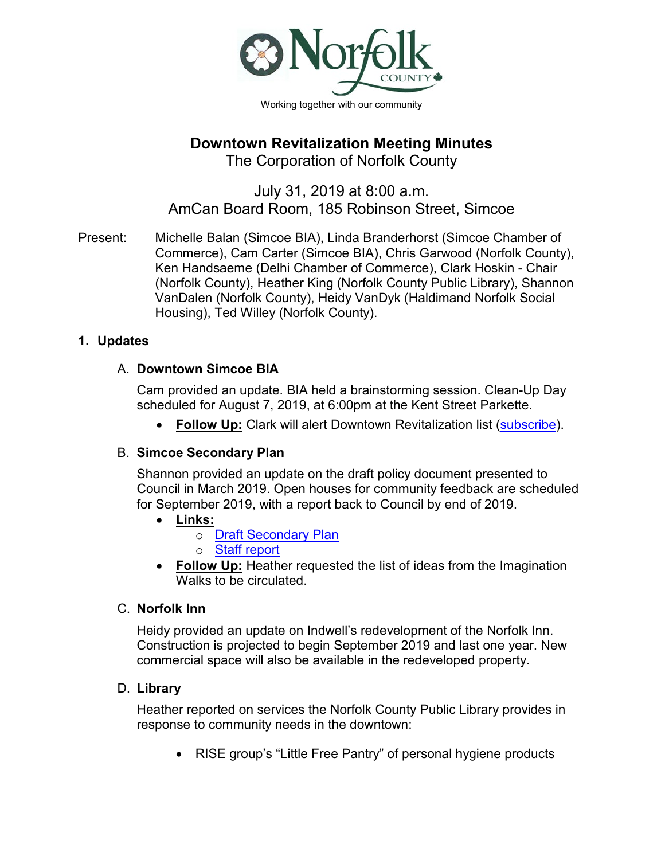

# **Downtown Revitalization Meeting Minutes**

The Corporation of Norfolk County

# July 31, 2019 at 8:00 a.m. AmCan Board Room, 185 Robinson Street, Simcoe

Present: Michelle Balan (Simcoe BIA), Linda Branderhorst (Simcoe Chamber of Commerce), Cam Carter (Simcoe BIA), Chris Garwood (Norfolk County), Ken Handsaeme (Delhi Chamber of Commerce), Clark Hoskin - Chair (Norfolk County), Heather King (Norfolk County Public Library), Shannon VanDalen (Norfolk County), Heidy VanDyk (Haldimand Norfolk Social Housing), Ted Willey (Norfolk County).

# **1. Updates**

# A. **Downtown Simcoe BIA**

Cam provided an update. BIA held a brainstorming session. Clean-Up Day scheduled for August 7, 2019, at 6:00pm at the Kent Street Parkette.

• **Follow Up:** Clark will alert Downtown Revitalization list [\(subscribe\)](https://signup.e2ma.net/signup/1802644/1405207/?v=a).

# B. **Simcoe Secondary Plan**

Shannon provided an update on the draft policy document presented to Council in March 2019. Open houses for community feedback are scheduled for September 2019, with a report back to Council by end of 2019.

# • **Links:**

- o [Draft Secondary Plan](http://www.norfolkcounty.ca/download/government/community-planning/DCS-19-44-Appendix-A-Downtown-Simcoe-Secondary-Plan.pdf)
	- o [Staff report](http://www.norfolkcounty.ca/download/government/community-planning/DCS-19-44-Downtown-Simcoe-Secondary-Report-Final.pdf)
- **Follow Up:** Heather requested the list of ideas from the Imagination Walks to be circulated.

# C. **Norfolk Inn**

Heidy provided an update on Indwell's redevelopment of the Norfolk Inn. Construction is projected to begin September 2019 and last one year. New commercial space will also be available in the redeveloped property.

# D. **Library**

Heather reported on services the Norfolk County Public Library provides in response to community needs in the downtown:

• RISE group's "Little Free Pantry" of personal hygiene products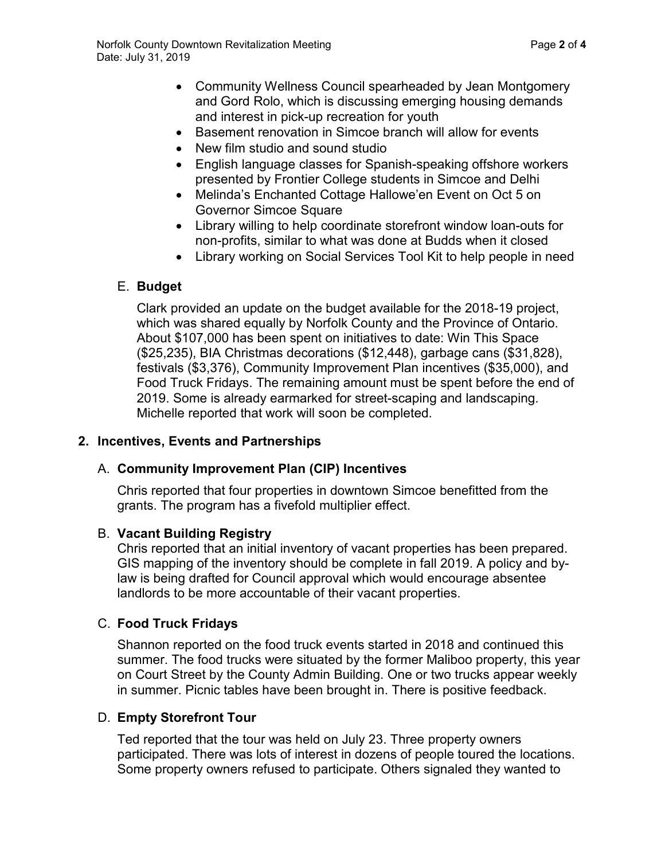- Community Wellness Council spearheaded by Jean Montgomery and Gord Rolo, which is discussing emerging housing demands and interest in pick-up recreation for youth
- Basement renovation in Simcoe branch will allow for events
- New film studio and sound studio
- English language classes for Spanish-speaking offshore workers presented by Frontier College students in Simcoe and Delhi
- Melinda's Enchanted Cottage Hallowe'en Event on Oct 5 on Governor Simcoe Square
- Library willing to help coordinate storefront window loan-outs for non-profits, similar to what was done at Budds when it closed
- Library working on Social Services Tool Kit to help people in need

## E. **Budget**

Clark provided an update on the budget available for the 2018-19 project, which was shared equally by Norfolk County and the Province of Ontario. About \$107,000 has been spent on initiatives to date: Win This Space (\$25,235), BIA Christmas decorations (\$12,448), garbage cans (\$31,828), festivals (\$3,376), Community Improvement Plan incentives (\$35,000), and Food Truck Fridays. The remaining amount must be spent before the end of 2019. Some is already earmarked for street-scaping and landscaping. Michelle reported that work will soon be completed.

## **2. Incentives, Events and Partnerships**

## A. **Community Improvement Plan (CIP) Incentives**

Chris reported that four properties in downtown Simcoe benefitted from the grants. The program has a fivefold multiplier effect.

## B. **Vacant Building Registry**

Chris reported that an initial inventory of vacant properties has been prepared. GIS mapping of the inventory should be complete in fall 2019. A policy and bylaw is being drafted for Council approval which would encourage absentee landlords to be more accountable of their vacant properties.

# C. **Food Truck Fridays**

Shannon reported on the food truck events started in 2018 and continued this summer. The food trucks were situated by the former Maliboo property, this year on Court Street by the County Admin Building. One or two trucks appear weekly in summer. Picnic tables have been brought in. There is positive feedback.

## D. **Empty Storefront Tour**

Ted reported that the tour was held on July 23. Three property owners participated. There was lots of interest in dozens of people toured the locations. Some property owners refused to participate. Others signaled they wanted to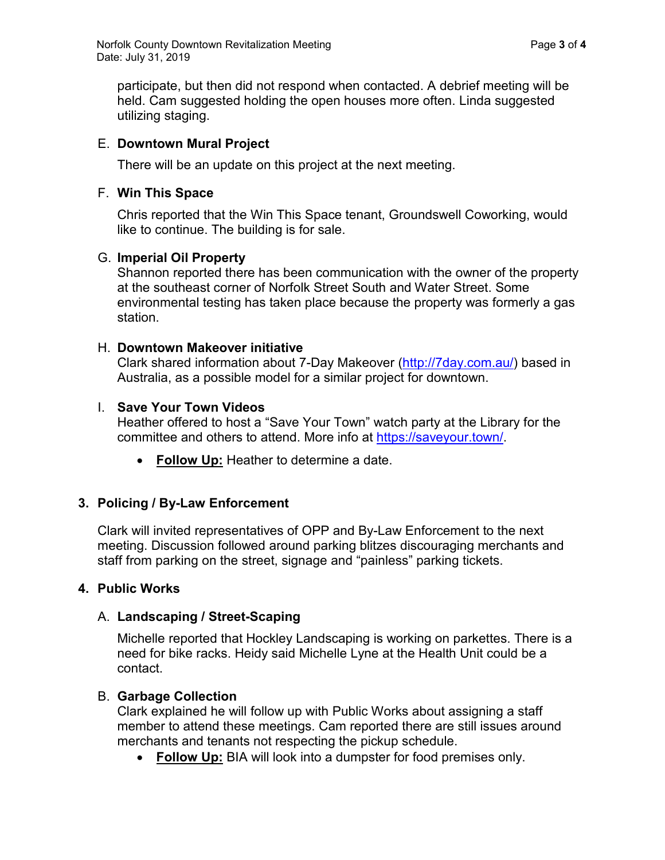participate, but then did not respond when contacted. A debrief meeting will be held. Cam suggested holding the open houses more often. Linda suggested utilizing staging.

## E. **Downtown Mural Project**

There will be an update on this project at the next meeting.

## F. **Win This Space**

Chris reported that the Win This Space tenant, Groundswell Coworking, would like to continue. The building is for sale.

## G. **Imperial Oil Property**

Shannon reported there has been communication with the owner of the property at the southeast corner of Norfolk Street South and Water Street. Some environmental testing has taken place because the property was formerly a gas station.

## H. **Downtown Makeover initiative**

Clark shared information about 7-Day Makeover [\(http://7day.com.au/\)](http://7day.com.au/) based in Australia, as a possible model for a similar project for downtown.

## I. **Save Your Town Videos**

Heather offered to host a "Save Your Town" watch party at the Library for the committee and others to attend. More info at [https://saveyour.town/.](https://saveyour.town/)

• **Follow Up:** Heather to determine a date.

# **3. Policing / By-Law Enforcement**

Clark will invited representatives of OPP and By-Law Enforcement to the next meeting. Discussion followed around parking blitzes discouraging merchants and staff from parking on the street, signage and "painless" parking tickets.

## **4. Public Works**

## A. **Landscaping / Street-Scaping**

Michelle reported that Hockley Landscaping is working on parkettes. There is a need for bike racks. Heidy said Michelle Lyne at the Health Unit could be a contact.

## B. **Garbage Collection**

Clark explained he will follow up with Public Works about assigning a staff member to attend these meetings. Cam reported there are still issues around merchants and tenants not respecting the pickup schedule.

• **Follow Up:** BIA will look into a dumpster for food premises only.